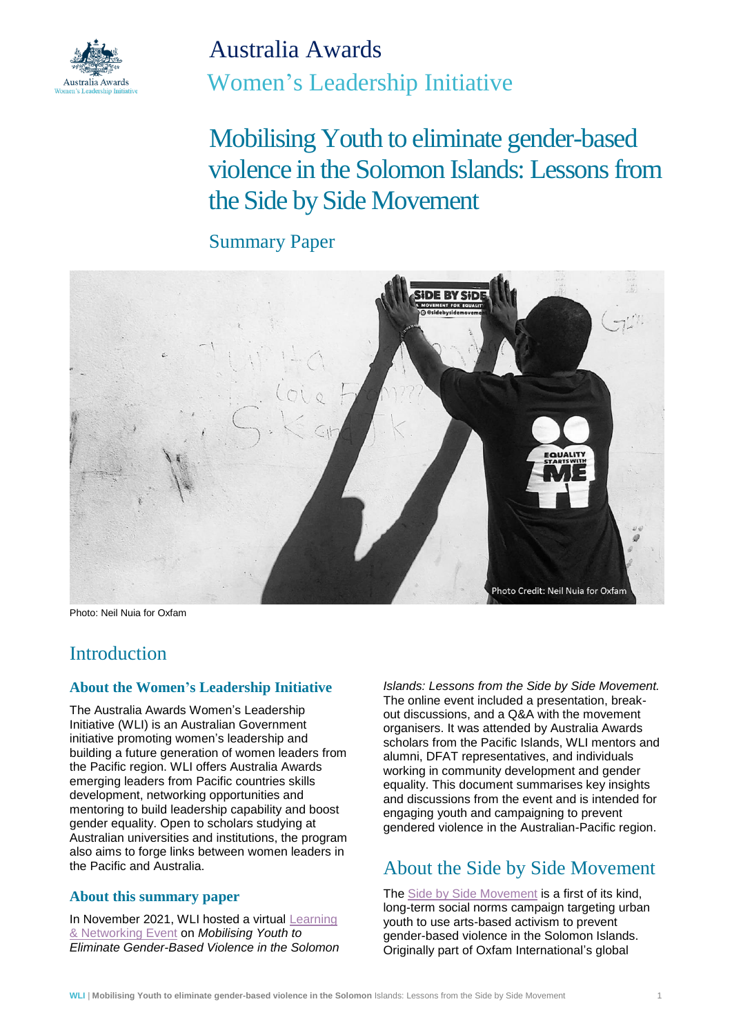

Australia Awards Women's Leadership Initiative

Mobilising Youth to eliminate gender-based violence in the Solomon Islands: Lessonsfrom the Side by Side Movement

## Summary Paper



Photo: Neil Nuia for Oxfam

## **Introduction**

### **About the Women's Leadership Initiative**

The Australia Awards Women's Leadership Initiative (WLI) is an Australian Government initiative promoting women's leadership and building a future generation of women leaders from the Pacific region. WLI offers Australia Awards emerging leaders from Pacific countries skills development, networking opportunities and mentoring to build leadership capability and boost gender equality. Open to scholars studying at Australian universities and institutions, the program also aims to forge links between women leaders in the Pacific and Australia.

#### **About this summary paper**

In November 2021, WLI hosted a virtual [Learning](https://womensleadershipinitiative.org.au/learning-and-networking-events/)  [& Networking Event](https://womensleadershipinitiative.org.au/learning-and-networking-events/) on *Mobilising Youth to Eliminate Gender-Based Violence in the Solomon*  *Islands: Lessons from the Side by Side Movement.* The online event included a presentation, breakout discussions, and a Q&A with the movement organisers. It was attended by Australia Awards scholars from the Pacific Islands, WLI mentors and alumni, DFAT representatives, and individuals working in community development and gender equality. This document summarises key insights and discussions from the event and is intended for engaging youth and campaigning to prevent gendered violence in the Australian-Pacific region.

# About the Side by Side Movement

The [Side by Side Movement](https://www.facebook.com/sidebysidemovement/) is a first of its kind. long-term social norms campaign targeting urban youth to use arts-based activism to prevent gender-based violence in the Solomon Islands. Originally part of Oxfam International's global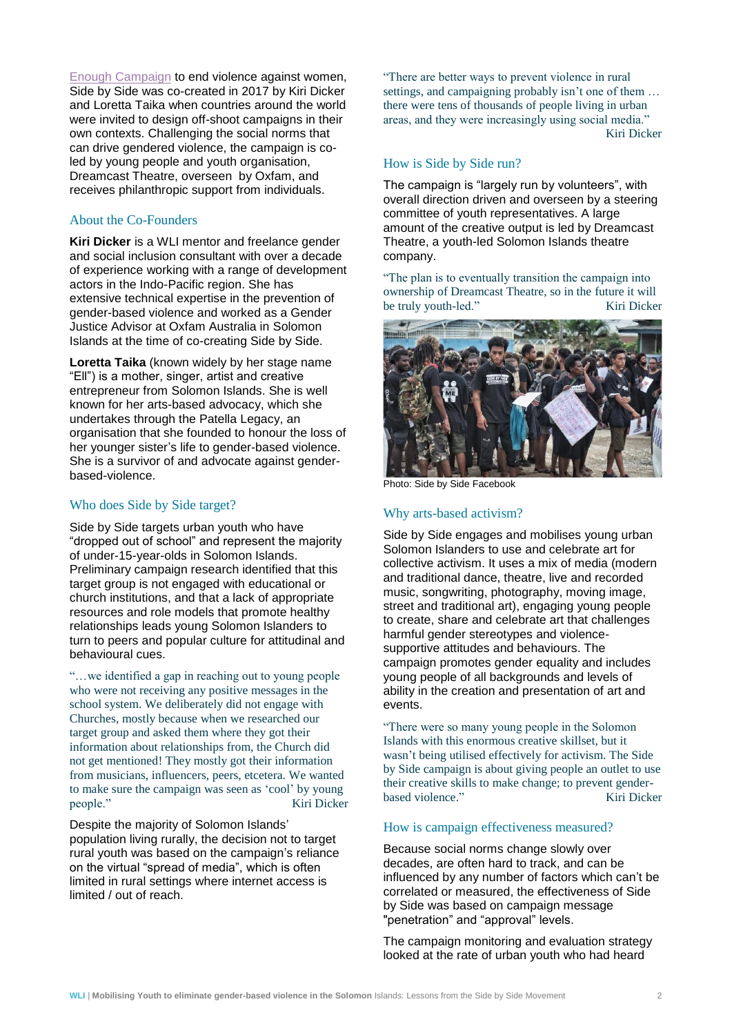[Enough Campaign](https://www.oxfam.org/en/tags/enough) to end violence against women, Side by Side was co-created in 2017 by Kiri Dicker and Loretta Taika when countries around the world were invited to design off-shoot campaigns in their own contexts. Challenging the social norms that can drive gendered violence, the campaign is coled by young people and youth organisation, Dreamcast Theatre, overseen by Oxfam, and receives philanthropic support from individuals.

#### About the Co-Founders

**Kiri Dicker** is a WLI mentor and freelance gender and social inclusion consultant with over a decade of experience working with a range of development actors in the Indo-Pacific region. She has extensive technical expertise in the prevention of gender-based violence and worked as a Gender Justice Advisor at Oxfam Australia in Solomon Islands at the time of co-creating Side by Side.

**Loretta Taika** (known widely by her stage name "Ell") is a mother, singer, artist and creative entrepreneur from Solomon Islands. She is well known for her arts-based advocacy, which she undertakes through the Patella Legacy, an organisation that she founded to honour the loss of her younger sister's life to gender-based violence. She is a survivor of and advocate against genderbased-violence.

#### Who does Side by Side target?

Side by Side targets urban youth who have "dropped out of school" and represent the majority of under-15-year-olds in Solomon Islands. Preliminary campaign research identified that this target group is not engaged with educational or church institutions, and that a lack of appropriate resources and role models that promote healthy relationships leads young Solomon Islanders to turn to peers and popular culture for attitudinal and behavioural cues.

"…we identified a gap in reaching out to young people who were not receiving any positive messages in the school system. We deliberately did not engage with Churches, mostly because when we researched our target group and asked them where they got their information about relationships from, the Church did not get mentioned! They mostly got their information from musicians, influencers, peers, etcetera. We wanted to make sure the campaign was seen as 'cool' by young people." Kiri Dicker

Despite the majority of Solomon Islands' population living rurally, the decision not to target rural youth was based on the campaign's reliance on the virtual "spread of media", which is often limited in rural settings where internet access is limited / out of reach.

"There are better ways to prevent violence in rural settings, and campaigning probably isn't one of them … there were tens of thousands of people living in urban areas, and they were increasingly using social media." Kiri Dicker

#### How is Side by Side run?

The campaign is "largely run by volunteers", with overall direction driven and overseen by a steering committee of youth representatives. A large amount of the creative output is led by Dreamcast Theatre, a youth-led Solomon Islands theatre company.

"The plan is to eventually transition the campaign into ownership of Dreamcast Theatre, so in the future it will be truly youth-led." Kiri Dicker



Photo: Side by Side Facebook

#### Why arts-based activism?

Side by Side engages and mobilises young urban Solomon Islanders to use and celebrate art for collective activism. It uses a mix of media (modern and traditional dance, theatre, live and recorded music, songwriting, photography, moving image, street and traditional art), engaging young people to create, share and celebrate art that challenges harmful gender stereotypes and violencesupportive attitudes and behaviours. The campaign promotes gender equality and includes young people of all backgrounds and levels of ability in the creation and presentation of art and events.

"There were so many young people in the Solomon Islands with this enormous creative skillset, but it wasn't being utilised effectively for activism. The Side by Side campaign is about giving people an outlet to use their creative skills to make change; to prevent genderbased violence." Kiri Dicker

#### How is campaign effectiveness measured?

Because social norms change slowly over decades, are often hard to track, and can be influenced by any number of factors which can't be correlated or measured, the effectiveness of Side by Side was based on campaign message "penetration" and "approval" levels.

The campaign monitoring and evaluation strategy looked at the rate of urban youth who had heard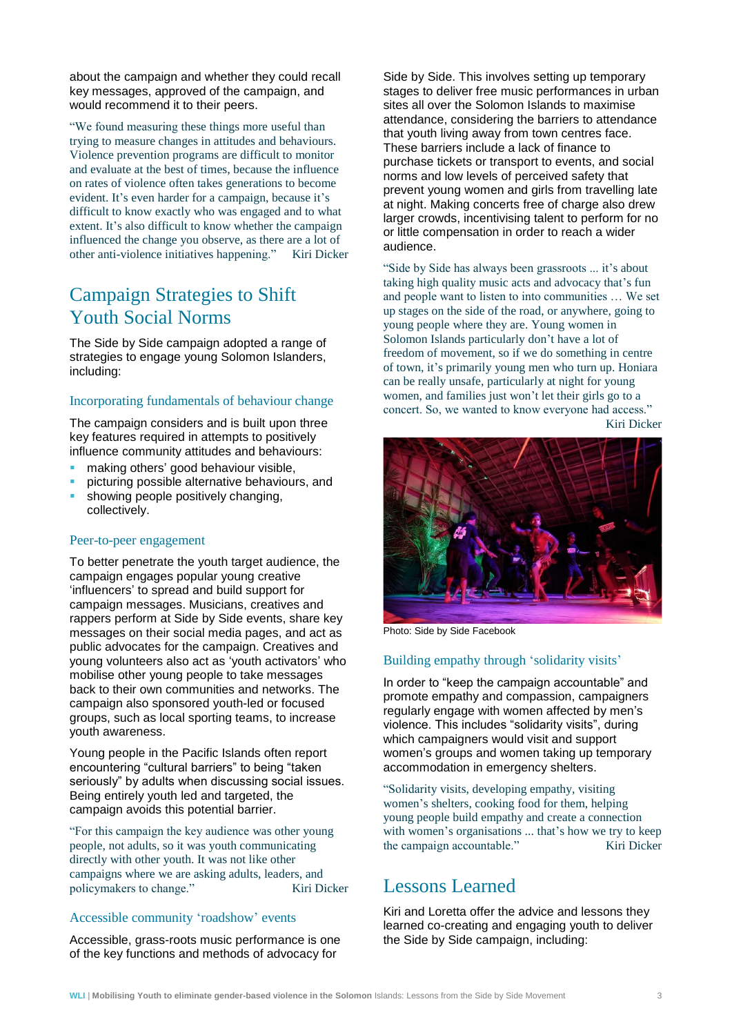about the campaign and whether they could recall key messages, approved of the campaign, and would recommend it to their peers.

"We found measuring these things more useful than trying to measure changes in attitudes and behaviours. Violence prevention programs are difficult to monitor and evaluate at the best of times, because the influence on rates of violence often takes generations to become evident. It's even harder for a campaign, because it's difficult to know exactly who was engaged and to what extent. It's also difficult to know whether the campaign influenced the change you observe, as there are a lot of other anti-violence initiatives happening." Kiri Dicker

## Campaign Strategies to Shift Youth Social Norms

The Side by Side campaign adopted a range of strategies to engage young Solomon Islanders, including:

#### Incorporating fundamentals of behaviour change

The campaign considers and is built upon three key features required in attempts to positively influence community attitudes and behaviours:

- making others' good behaviour visible.
- picturing possible alternative behaviours, and
- showing people positively changing, collectively.

#### Peer-to-peer engagement

To better penetrate the youth target audience, the campaign engages popular young creative 'influencers' to spread and build support for campaign messages. Musicians, creatives and rappers perform at Side by Side events, share key messages on their social media pages, and act as public advocates for the campaign. Creatives and young volunteers also act as 'youth activators' who mobilise other young people to take messages back to their own communities and networks. The campaign also sponsored youth-led or focused groups, such as local sporting teams, to increase youth awareness.

Young people in the Pacific Islands often report encountering "cultural barriers" to being "taken seriously" by adults when discussing social issues. Being entirely youth led and targeted, the campaign avoids this potential barrier.

"For this campaign the key audience was other young people, not adults, so it was youth communicating directly with other youth. It was not like other campaigns where we are asking adults, leaders, and policymakers to change." Kiri Dicker

#### Accessible community 'roadshow' events

Accessible, grass-roots music performance is one of the key functions and methods of advocacy for

Side by Side. This involves setting up temporary stages to deliver free music performances in urban sites all over the Solomon Islands to maximise attendance, considering the barriers to attendance that youth living away from town centres face. These barriers include a lack of finance to purchase tickets or transport to events, and social norms and low levels of perceived safety that prevent young women and girls from travelling late at night. Making concerts free of charge also drew larger crowds, incentivising talent to perform for no or little compensation in order to reach a wider audience.

"Side by Side has always been grassroots ... it's about taking high quality music acts and advocacy that's fun and people want to listen to into communities … We set up stages on the side of the road, or anywhere, going to young people where they are. Young women in Solomon Islands particularly don't have a lot of freedom of movement, so if we do something in centre of town, it's primarily young men who turn up. Honiara can be really unsafe, particularly at night for young women, and families just won't let their girls go to a concert. So, we wanted to know everyone had access." Kiri Dicker



Photo: Side by Side Facebook

#### Building empathy through 'solidarity visits'

In order to "keep the campaign accountable" and promote empathy and compassion, campaigners regularly engage with women affected by men's violence. This includes "solidarity visits", during which campaigners would visit and support women's groups and women taking up temporary accommodation in emergency shelters.

"Solidarity visits, developing empathy, visiting women's shelters, cooking food for them, helping young people build empathy and create a connection with women's organisations ... that's how we try to keep the campaign accountable." Kiri Dicker

## Lessons Learned

Kiri and Loretta offer the advice and lessons they learned co-creating and engaging youth to deliver the Side by Side campaign, including: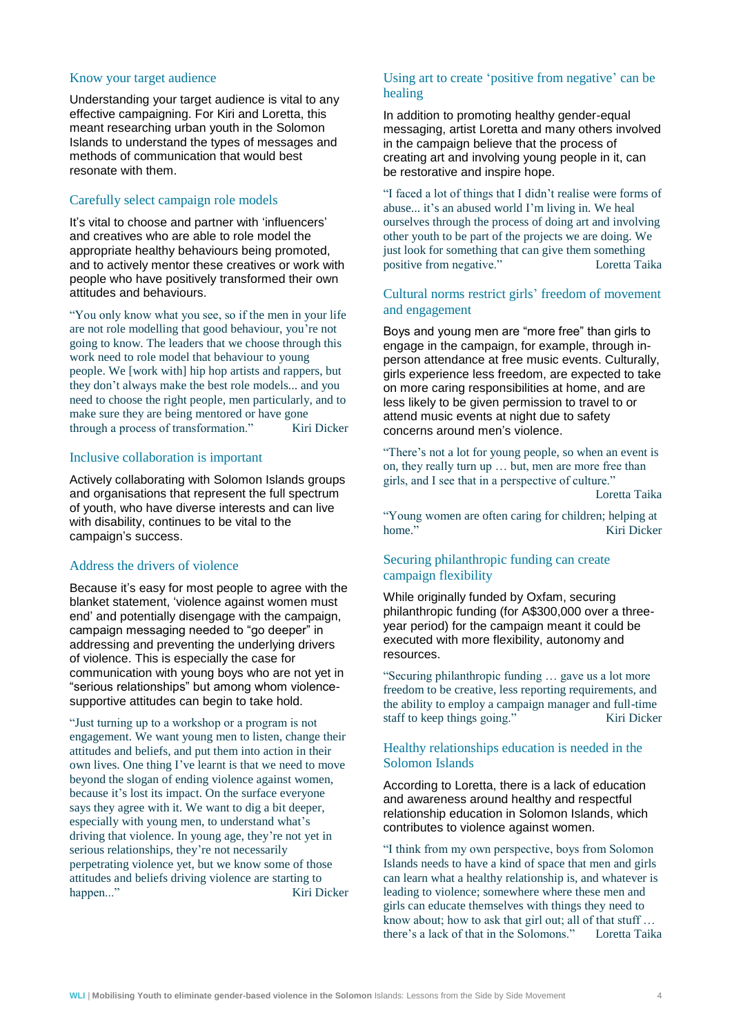#### Know your target audience

Understanding your target audience is vital to any effective campaigning. For Kiri and Loretta, this meant researching urban youth in the Solomon Islands to understand the types of messages and methods of communication that would best resonate with them.

#### Carefully select campaign role models

It's vital to choose and partner with 'influencers' and creatives who are able to role model the appropriate healthy behaviours being promoted, and to actively mentor these creatives or work with people who have positively transformed their own attitudes and behaviours.

"You only know what you see, so if the men in your life are not role modelling that good behaviour, you're not going to know. The leaders that we choose through this work need to role model that behaviour to young people. We [work with] hip hop artists and rappers, but they don't always make the best role models... and you need to choose the right people, men particularly, and to make sure they are being mentored or have gone through a process of transformation." Kiri Dicker

#### Inclusive collaboration is important

Actively collaborating with Solomon Islands groups and organisations that represent the full spectrum of youth, who have diverse interests and can live with disability, continues to be vital to the campaign's success.

#### Address the drivers of violence

Because it's easy for most people to agree with the blanket statement, 'violence against women must end' and potentially disengage with the campaign, campaign messaging needed to "go deeper" in addressing and preventing the underlying drivers of violence. This is especially the case for communication with young boys who are not yet in "serious relationships" but among whom violencesupportive attitudes can begin to take hold.

"Just turning up to a workshop or a program is not engagement. We want young men to listen, change their attitudes and beliefs, and put them into action in their own lives. One thing I've learnt is that we need to move beyond the slogan of ending violence against women, because it's lost its impact. On the surface everyone says they agree with it. We want to dig a bit deeper, especially with young men, to understand what's driving that violence. In young age, they're not yet in serious relationships, they're not necessarily perpetrating violence yet, but we know some of those attitudes and beliefs driving violence are starting to happen..." Kiri Dicker

#### Using art to create 'positive from negative' can be healing

In addition to promoting healthy gender-equal messaging, artist Loretta and many others involved in the campaign believe that the process of creating art and involving young people in it, can be restorative and inspire hope.

"I faced a lot of things that I didn't realise were forms of abuse... it's an abused world I'm living in. We heal ourselves through the process of doing art and involving other youth to be part of the projects we are doing. We just look for something that can give them something positive from negative." Loretta Taika

#### Cultural norms restrict girls' freedom of movement and engagement

Boys and young men are "more free" than girls to engage in the campaign, for example, through inperson attendance at free music events. Culturally, girls experience less freedom, are expected to take on more caring responsibilities at home, and are less likely to be given permission to travel to or attend music events at night due to safety concerns around men's violence.

"There's not a lot for young people, so when an event is on, they really turn up … but, men are more free than girls, and I see that in a perspective of culture."

Loretta Taika

"Young women are often caring for children; helping at home." Kiri Dicker

#### Securing philanthropic funding can create campaign flexibility

While originally funded by Oxfam, securing philanthropic funding (for A\$300,000 over a threeyear period) for the campaign meant it could be executed with more flexibility, autonomy and resources.

"Securing philanthropic funding … gave us a lot more freedom to be creative, less reporting requirements, and the ability to employ a campaign manager and full-time staff to keep things going." Kiri Dicker

#### Healthy relationships education is needed in the Solomon Islands

According to Loretta, there is a lack of education and awareness around healthy and respectful relationship education in Solomon Islands, which contributes to violence against women.

"I think from my own perspective, boys from Solomon Islands needs to have a kind of space that men and girls can learn what a healthy relationship is, and whatever is leading to violence; somewhere where these men and girls can educate themselves with things they need to know about; how to ask that girl out; all of that stuff … there's a lack of that in the Solomons." Loretta Taika